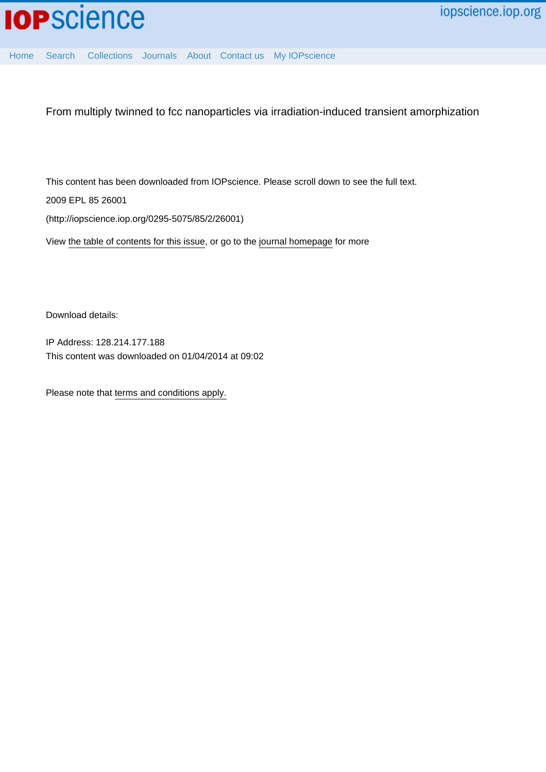[Home](http://iopscience.iop.org/) [Search](http://iopscience.iop.org/search) [Collections](http://iopscience.iop.org/collections) [Journals](http://iopscience.iop.org/journals) [About](http://iopscience.iop.org/page/aboutioppublishing) [Contact us](http://iopscience.iop.org/contact) [My IOPscience](http://iopscience.iop.org/myiopscience)

From multiply twinned to fcc nanoparticles via irradiation-induced transient amorphization

This content has been downloaded from IOPscience. Please scroll down to see the full text.

2009 EPL 85 26001

(http://iopscience.iop.org/0295-5075/85/2/26001)

View [the table of contents for this issue](http://iopscience.iop.org/0295-5075/85/2), or go to the [journal homepage](http://iopscience.iop.org/0295-5075) for more

Download details:

IP Address: 128.214.177.188 This content was downloaded on 01/04/2014 at 09:02

Please note that [terms and conditions apply.](iopscience.iop.org/page/terms)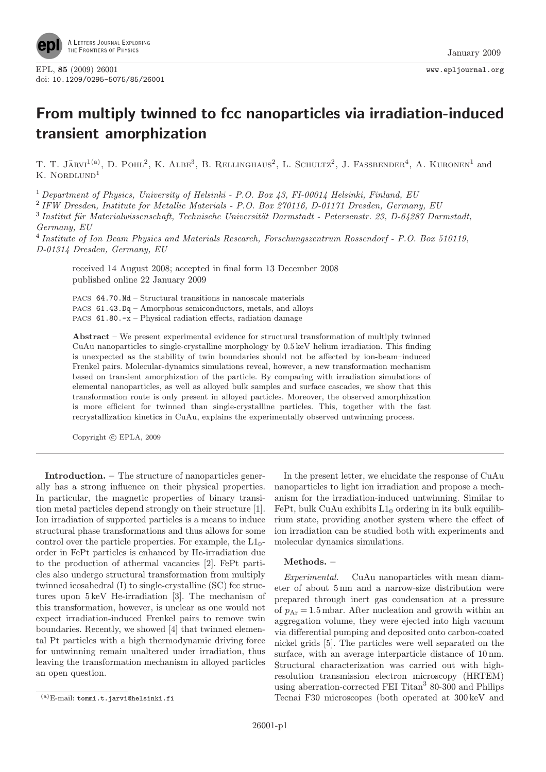

## From multiply twinned to fcc nanoparticles via irradiation-induced transient amorphization

T. T. JÄRVI<sup>1(a)</sup>, D. POHL<sup>2</sup>, K. ALBE<sup>3</sup>, B. RELLINGHAUS<sup>2</sup>, L. SCHULTZ<sup>2</sup>, J. FASSBENDER<sup>4</sup>, A. KURONEN<sup>1</sup> and K. NORDLUND<sup>1</sup>

<sup>1</sup> Department of Physics, University of Helsinki - P.O. Box  $43$ , FI-00014 Helsinki, Finland, EU

<sup>2</sup> IFW Dresden, Institute for Metallic Materials - P.O. Box 270116, D-01171 Dresden, Germany, EU

 $3$  Institut für Materialwissenschaft, Technische Universität Darmstadt - Petersenstr. 23, D-64287 Darmstadt, Germany, EU

<sup>4</sup> Institute of Ion Beam Physics and Materials Research, Forschungszentrum Rossendorf - P.O. Box 510119, D-01314 Dresden, Germany, EU

received 14 August 2008; accepted in final form 13 December 2008 published online 22 January 2009

PACS 64.70.Nd – Structural transitions in nanoscale materials PACS 61.43.Dq – Amorphous semiconductors, metals, and alloys PACS  $61.80.-x$  – Physical radiation effects, radiation damage

Abstract – We present experimental evidence for structural transformation of multiply twinned CuAu nanoparticles to single-crystalline morphology by 0.5 keV helium irradiation. This finding is unexpected as the stability of twin boundaries should not be affected by ion-beam–induced Frenkel pairs. Molecular-dynamics simulations reveal, however, a new transformation mechanism based on transient amorphization of the particle. By comparing with irradiation simulations of elemental nanoparticles, as well as alloyed bulk samples and surface cascades, we show that this transformation route is only present in alloyed particles. Moreover, the observed amorphization is more efficient for twinned than single-crystalline particles. This, together with the fast recrystallization kinetics in CuAu, explains the experimentally observed untwinning process.

Copyright  $\odot$  EPLA, 2009

Introduction. – The structure of nanoparticles generally has a strong influence on their physical properties. In particular, the magnetic properties of binary transition metal particles depend strongly on their structure [1]. Ion irradiation of supported particles is a means to induce structural phase transformations and thus allows for some control over the particle properties. For example, the  $L1_0$ order in FePt particles is enhanced by He-irradiation due to the production of athermal vacancies [2]. FePt particles also undergo structural transformation from multiply twinned icosahedral (I) to single-crystalline (SC) fcc structures upon 5 keV He-irradiation [3]. The mechanism of this transformation, however, is unclear as one would not expect irradiation-induced Frenkel pairs to remove twin boundaries. Recently, we showed [4] that twinned elemental Pt particles with a high thermodynamic driving force for untwinning remain unaltered under irradiation, thus leaving the transformation mechanism in alloyed particles an open question.

In the present letter, we elucidate the response of CuAu nanoparticles to light ion irradiation and propose a mechanism for the irradiation-induced untwinning. Similar to FePt, bulk CuAu exhibits  $L1_0$  ordering in its bulk equilibrium state, providing another system where the effect of ion irradiation can be studied both with experiments and molecular dynamics simulations.

## Methods. –

Experimental. CuAu nanoparticles with mean diameter of about 5 nm and a narrow-size distribution were prepared through inert gas condensation at a pressure of  $p_{Ar} = 1.5$  mbar. After nucleation and growth within an aggregation volume, they were ejected into high vacuum via differential pumping and deposited onto carbon-coated nickel grids [5]. The particles were well separated on the surface, with an average interparticle distance of 10 nm. Structural characterization was carried out with highresolution transmission electron microscopy (HRTEM) using aberration-corrected FEI Titan<sup>3</sup> 80-300 and Philips Tecnai F30 microscopes (both operated at 300 keV and

 ${}^{\rm (a)}\rm E\text{-}mail:$ tommi.t.jarvi@helsinki.fi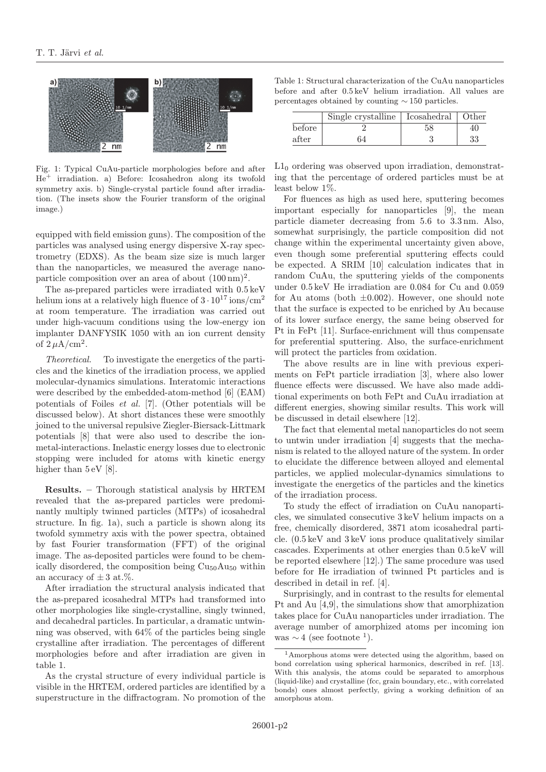

Fig. 1: Typical CuAu-particle morphologies before and after He<sup>+</sup> irradiation. a) Before: Icosahedron along its twofold symmetry axis. b) Single-crystal particle found after irradiation. (The insets show the Fourier transform of the original image.)

equipped with field emission guns). The composition of the particles was analysed using energy dispersive X-ray spectrometry (EDXS). As the beam size size is much larger than the nanoparticles, we measured the average nanoparticle composition over an area of about  $(100 \text{ nm})^2$ .

The as-prepared particles were irradiated with 0.5 keV helium ions at a relatively high fluence of  $3 \cdot 10^{17}$  ions/cm<sup>2</sup> at room temperature. The irradiation was carried out under high-vacuum conditions using the low-energy ion implanter DANFYSIK 1050 with an ion current density of  $2 \mu A/cm^2$ .

Theoretical. To investigate the energetics of the particles and the kinetics of the irradiation process, we applied molecular-dynamics simulations. Interatomic interactions were described by the embedded-atom-method [6] (EAM) potentials of Foiles et al. [7]. (Other potentials will be discussed below). At short distances these were smoothly joined to the universal repulsive Ziegler-Biersack-Littmark potentials [8] that were also used to describe the ionmetal-interactions. Inelastic energy losses due to electronic stopping were included for atoms with kinetic energy higher than  $5 \text{ eV}$  [8].

Results. – Thorough statistical analysis by HRTEM revealed that the as-prepared particles were predominantly multiply twinned particles (MTPs) of icosahedral structure. In fig. 1a), such a particle is shown along its twofold symmetry axis with the power spectra, obtained by fast Fourier transformation (FFT) of the original image. The as-deposited particles were found to be chemically disordered, the composition being  $Cu<sub>50</sub>Au<sub>50</sub>$  within an accuracy of  $\pm 3$  at.%.

After irradiation the structural analysis indicated that the as-prepared icosahedral MTPs had transformed into other morphologies like single-crystalline, singly twinned, and decahedral particles. In particular, a dramatic untwinning was observed, with 64% of the particles being single crystalline after irradiation. The percentages of different morphologies before and after irradiation are given in table 1.

As the crystal structure of every individual particle is visible in the HRTEM, ordered particles are identified by a superstructure in the diffractogram. No promotion of the

Table 1: Structural characterization of the CuAu nanoparticles before and after 0.5 keV helium irradiation. All values are percentages obtained by counting ∼ 150 particles.

|        | Single crystalline   Icosahedral   Other |    |    |
|--------|------------------------------------------|----|----|
| before |                                          | 58 |    |
| after  |                                          |    | 33 |

 $L1_0$  ordering was observed upon irradiation, demonstrating that the percentage of ordered particles must be at least below 1%.

For fluences as high as used here, sputtering becomes important especially for nanoparticles [9], the mean particle diameter decreasing from 5.6 to 3.3 nm. Also, somewhat surprisingly, the particle composition did not change within the experimental uncertainty given above, even though some preferential sputtering effects could be expected. A SRIM [10] calculation indicates that in random CuAu, the sputtering yields of the components under 0.5 keV He irradiation are 0.084 for Cu and 0.059 for Au atoms (both  $\pm 0.002$ ). However, one should note that the surface is expected to be enriched by Au because of its lower surface energy, the same being observed for Pt in FePt [11]. Surface-enrichment will thus compensate for preferential sputtering. Also, the surface-enrichment will protect the particles from oxidation.

The above results are in line with previous experiments on FePt particle irradiation [3], where also lower fluence effects were discussed. We have also made additional experiments on both FePt and CuAu irradiation at different energies, showing similar results. This work will be discussed in detail elsewhere [12].

The fact that elemental metal nanoparticles do not seem to untwin under irradiation [4] suggests that the mechanism is related to the alloyed nature of the system. In order to elucidate the difference between alloyed and elemental particles, we applied molecular-dynamics simulations to investigate the energetics of the particles and the kinetics of the irradiation process.

To study the effect of irradiation on CuAu nanoparticles, we simulated consecutive 3 keV helium impacts on a free, chemically disordered, 3871 atom icosahedral particle. (0.5 keV and 3 keV ions produce qualitatively similar cascades. Experiments at other energies than 0.5 keV will be reported elsewhere [12].) The same procedure was used before for He irradiation of twinned Pt particles and is described in detail in ref. [4].

Surprisingly, and in contrast to the results for elemental Pt and Au [4,9], the simulations show that amorphization takes place for CuAu nanoparticles under irradiation. The average number of amorphized atoms per incoming ion was  $\sim$  4 (see footnote <sup>1</sup>).

<sup>1</sup>Amorphous atoms were detected using the algorithm, based on bond correlation using spherical harmonics, described in ref. [13]. With this analysis, the atoms could be separated to amorphous (liquid-like) and crystalline (fcc, grain boundary, etc., with correlated bonds) ones almost perfectly, giving a working definition of an amorphous atom.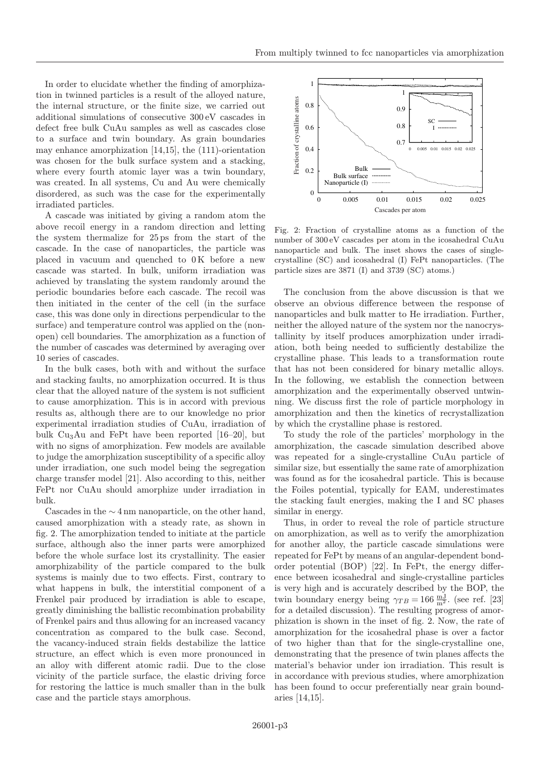In order to elucidate whether the finding of amorphization in twinned particles is a result of the alloyed nature, the internal structure, or the finite size, we carried out additional simulations of consecutive 300 eV cascades in defect free bulk CuAu samples as well as cascades close to a surface and twin boundary. As grain boundaries may enhance amorphization [14,15], the (111)-orientation was chosen for the bulk surface system and a stacking, where every fourth atomic layer was a twin boundary, was created. In all systems, Cu and Au were chemically disordered, as such was the case for the experimentally irradiated particles.

A cascade was initiated by giving a random atom the above recoil energy in a random direction and letting the system thermalize for 25 ps from the start of the cascade. In the case of nanoparticles, the particle was placed in vacuum and quenched to 0 K before a new cascade was started. In bulk, uniform irradiation was achieved by translating the system randomly around the periodic boundaries before each cascade. The recoil was then initiated in the center of the cell (in the surface case, this was done only in directions perpendicular to the surface) and temperature control was applied on the (nonopen) cell boundaries. The amorphization as a function of the number of cascades was determined by averaging over 10 series of cascades.

In the bulk cases, both with and without the surface and stacking faults, no amorphization occurred. It is thus clear that the alloyed nature of the system is not sufficient to cause amorphization. This is in accord with previous results as, although there are to our knowledge no prior experimental irradiation studies of CuAu, irradiation of bulk  $Cu<sub>3</sub>Au$  and FePt have been reported [16–20], but with no signs of amorphization. Few models are available to judge the amorphization susceptibility of a specific alloy under irradiation, one such model being the segregation charge transfer model [21]. Also according to this, neither FePt nor CuAu should amorphize under irradiation in bulk.

Cascades in the  $\sim$  4 nm nanoparticle, on the other hand, caused amorphization with a steady rate, as shown in fig. 2. The amorphization tended to initiate at the particle surface, although also the inner parts were amorphized before the whole surface lost its crystallinity. The easier amorphizability of the particle compared to the bulk systems is mainly due to two effects. First, contrary to what happens in bulk, the interstitial component of a Frenkel pair produced by irradiation is able to escape, greatly diminishing the ballistic recombination probability of Frenkel pairs and thus allowing for an increased vacancy concentration as compared to the bulk case. Second, the vacancy-induced strain fields destabilize the lattice structure, an effect which is even more pronounced in an alloy with different atomic radii. Due to the close vicinity of the particle surface, the elastic driving force for restoring the lattice is much smaller than in the bulk case and the particle stays amorphous.



Fig. 2: Fraction of crystalline atoms as a function of the number of 300 eV cascades per atom in the icosahedral CuAu nanoparticle and bulk. The inset shows the cases of singlecrystalline (SC) and icosahedral (I) FePt nanoparticles. (The particle sizes are 3871 (I) and 3739 (SC) atoms.)

The conclusion from the above discussion is that we observe an obvious difference between the response of nanoparticles and bulk matter to He irradiation. Further, neither the alloyed nature of the system nor the nanocrystallinity by itself produces amorphization under irradiation, both being needed to sufficiently destabilize the crystalline phase. This leads to a transformation route that has not been considered for binary metallic alloys. In the following, we establish the connection between amorphization and the experimentally observed untwinning. We discuss first the role of particle morphology in amorphization and then the kinetics of recrystallization by which the crystalline phase is restored.

To study the role of the particles' morphology in the amorphization, the cascade simulation described above was repeated for a single-crystalline CuAu particle of similar size, but essentially the same rate of amorphization was found as for the icosahedral particle. This is because the Foiles potential, typically for EAM, underestimates the stacking fault energies, making the I and SC phases similar in energy.

Thus, in order to reveal the role of particle structure on amorphization, as well as to verify the amorphization for another alloy, the particle cascade simulations were repeated for FePt by means of an angular-dependent bondorder potential (BOP) [22]. In FePt, the energy difference between icosahedral and single-crystalline particles is very high and is accurately described by the BOP, the twin boundary energy being  $\gamma_{TB} = 166 \frac{\text{mJ}}{\text{m}^2}$ . (see ref. [23] for a detailed discussion). The resulting progress of amorphization is shown in the inset of fig. 2. Now, the rate of amorphization for the icosahedral phase is over a factor of two higher than that for the single-crystalline one, demonstrating that the presence of twin planes affects the material's behavior under ion irradiation. This result is in accordance with previous studies, where amorphization has been found to occur preferentially near grain boundaries [14,15].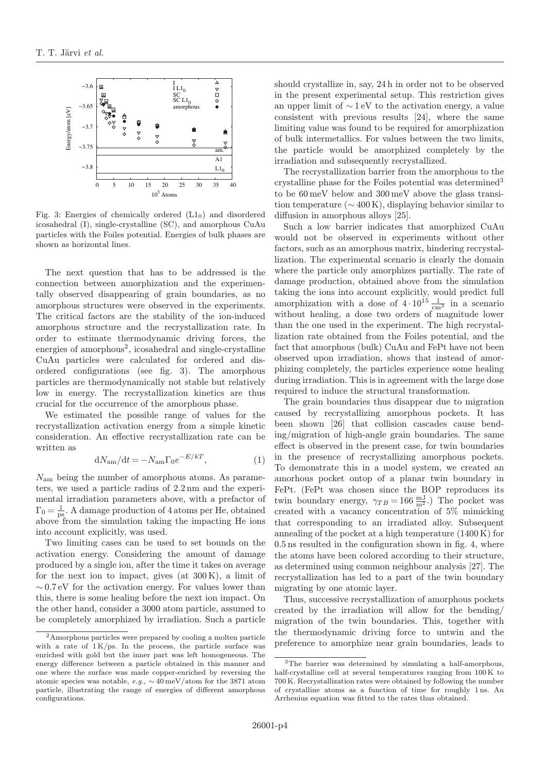

Fig. 3: Energies of chemically ordered  $(L1<sub>0</sub>)$  and disordered icosahedral (I), single-crystalline (SC), and amorphous CuAu particles with the Foiles potential. Energies of bulk phases are shown as horizontal lines.

The next question that has to be addressed is the connection between amorphization and the experimentally observed disappearing of grain boundaries, as no amorphous structures were observed in the experiments. The critical factors are the stability of the ion-induced amorphous structure and the recrystallization rate. In order to estimate thermodynamic driving forces, the energies of amorphous<sup>2</sup>, icosahedral and single-crystalline CuAu particles were calculated for ordered and disordered configurations (see fig. 3). The amorphous particles are thermodynamically not stable but relatively low in energy. The recrystallization kinetics are thus crucial for the occurrence of the amorphous phase.

We estimated the possible range of values for the recrystallization activation energy from a simple kinetic consideration. An effective recrystallization rate can be written as

$$
dN_{am}/dt = -N_{am}\Gamma_0 e^{-E/kT},\qquad(1)
$$

 $N_{\rm am}$  being the number of amorphous atoms. As parameters, we used a particle radius of 2.2 nm and the experimental irradiation parameters above, with a prefactor of  $\Gamma_0 = \frac{1}{ps}$ . A damage production of 4 atoms per He, obtained above from the simulation taking the impacting He ions into account explicitly, was used.

Two limiting cases can be used to set bounds on the activation energy. Considering the amount of damage produced by a single ion, after the time it takes on average for the next ion to impact, gives (at  $300 \text{ K}$ ), a limit of  $\sim 0.7$  eV for the activation energy. For values lower than this, there is some healing before the next ion impact. On the other hand, consider a 3000 atom particle, assumed to be completely amorphized by irradiation. Such a particle

should crystallize in, say, 24 h in order not to be observed in the present experimental setup. This restriction gives an upper limit of  $\sim$  1 eV to the activation energy, a value consistent with previous results [24], where the same limiting value was found to be required for amorphization of bulk intermetallics. For values between the two limits, the particle would be amorphized completely by the irradiation and subsequently recrystallized.

The recrystallization barrier from the amorphous to the crystalline phase for the Foiles potential was determined<sup>3</sup> to be 60 meV below and 300 meV above the glass transition temperature ( $\sim$  400 K), displaying behavior similar to diffusion in amorphous alloys [25].

Such a low barrier indicates that amorphized CuAu would not be observed in experiments without other factors, such as an amorphous matrix, hindering recrystallization. The experimental scenario is clearly the domain where the particle only amorphizes partially. The rate of damage production, obtained above from the simulation taking the ions into account explicitly, would predict full amorphization with a dose of  $4 \cdot 10^{15} \frac{1}{cm^2}$  in a scenario without healing, a dose two orders of magnitude lower than the one used in the experiment. The high recrystallization rate obtained from the Foiles potential, and the fact that amorphous (bulk) CuAu and FePt have not been observed upon irradiation, shows that instead of amorphizing completely, the particles experience some healing during irradiation. This is in agreement with the large dose required to induce the structural transformation.

The grain boundaries thus disappear due to migration caused by recrystallizing amorphous pockets. It has been shown [26] that collision cascades cause bending/migration of high-angle grain boundaries. The same effect is observed in the present case, for twin boundaries in the presence of recrystallizing amorphous pockets. To demonstrate this in a model system, we created an amorhous pocket ontop of a planar twin boundary in FePt. (FePt was chosen since the BOP reproduces its twin boundary energy,  $\gamma_{TB} = 166 \frac{\text{mJ}}{\text{m}^2}$ . The pocket was created with a vacancy concentration of 5% mimicking that corresponding to an irradiated alloy. Subsequent annealing of the pocket at a high temperature (1400 K) for 0.5 ns resulted in the configuration shown in fig. 4, where the atoms have been colored according to their structure, as determined using common neighbour analysis [27]. The recrystallization has led to a part of the twin boundary migrating by one atomic layer.

Thus, successive recrystallization of amorphous pockets created by the irradiation will allow for the bending/ migration of the twin boundaries. This, together with the thermodynamic driving force to untwin and the preference to amorphize near grain boundaries, leads to

<sup>2</sup>Amorphous particles were prepared by cooling a molten particle with a rate of  $1 K/ps$ . In the process, the particle surface was enriched with gold but the inner part was left homogeneous. The energy difference between a particle obtained in this manner and one where the surface was made copper-enriched by reversing the atomic species was notable,  $e.g., \sim 40 \,\mathrm{meV/atom}$  for the 3871 atom particle, illustrating the range of energies of different amorphous configurations.

<sup>3</sup>The barrier was determined by simulating a half-amorphous, half-crystalline cell at several temperatures ranging from 100 K to 700 K. Recrystallization rates were obtained by following the number of crystalline atoms as a function of time for roughly 1 ns. An Arrhenius equation was fitted to the rates thus obtained.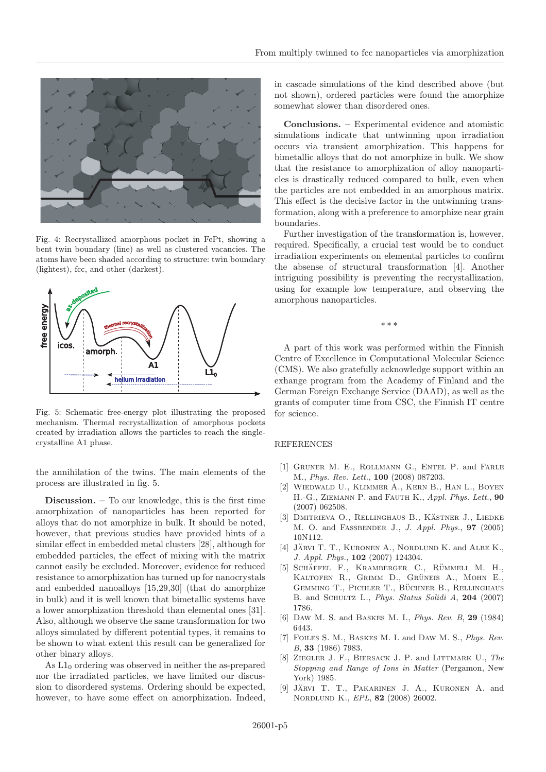

Fig. 4: Recrystallized amorphous pocket in FePt, showing a bent twin boundary (line) as well as clustered vacancies. The atoms have been shaded according to structure: twin boundary (lightest), fcc, and other (darkest).



Fig. 5: Schematic free-energy plot illustrating the proposed mechanism. Thermal recrystallization of amorphous pockets created by irradiation allows the particles to reach the singlecrystalline A1 phase.

the annihilation of the twins. The main elements of the process are illustrated in fig. 5.

Discussion. – To our knowledge, this is the first time amorphization of nanoparticles has been reported for alloys that do not amorphize in bulk. It should be noted, however, that previous studies have provided hints of a similar effect in embedded metal clusters [28], although for embedded particles, the effect of mixing with the matrix cannot easily be excluded. Moreover, evidence for reduced resistance to amorphization has turned up for nanocrystals and embedded nanoalloys [15,29,30] (that do amorphize in bulk) and it is well known that bimetallic systems have a lower amorphization threshold than elemental ones [31]. Also, although we observe the same transformation for two alloys simulated by different potential types, it remains to be shown to what extent this result can be generalized for other binary alloys.

As  $L1_0$  ordering was observed in neither the as-prepared nor the irradiated particles, we have limited our discussion to disordered systems. Ordering should be expected, however, to have some effect on amorphization. Indeed,

in cascade simulations of the kind described above (but not shown), ordered particles were found the amorphize somewhat slower than disordered ones.

Conclusions. – Experimental evidence and atomistic simulations indicate that untwinning upon irradiation occurs via transient amorphization. This happens for bimetallic alloys that do not amorphize in bulk. We show that the resistance to amorphization of alloy nanoparticles is drastically reduced compared to bulk, even when the particles are not embedded in an amorphous matrix. This effect is the decisive factor in the untwinning transformation, along with a preference to amorphize near grain boundaries.

Further investigation of the transformation is, however, required. Specifically, a crucial test would be to conduct irradiation experiments on elemental particles to confirm the absense of structural transformation [4]. Another intriguing possibility is preventing the recrystallization, using for example low temperature, and observing the amorphous nanoparticles.

∗∗∗

A part of this work was performed within the Finnish Centre of Excellence in Computational Molecular Science (CMS). We also gratefully acknowledge support within an exhange program from the Academy of Finland and the German Foreign Exchange Service (DAAD), as well as the grants of computer time from CSC, the Finnish IT centre for science.

## REFERENCES

- [1] Gruner M. E., Rollmann G., Entel P. and Farle M., Phys. Rev. Lett., 100 (2008) 087203.
- [2] Wiedwald U., Klimmer A., Kern B., Han L., Boyen H.-G., ZIEMANN P. and FAUTH K., Appl. Phys. Lett., 90 (2007) 062508.
- [3] DMITRIEVA O., RELLINGHAUS B., KÄSTNER J., LIEDKE M. O. and FASSBENDER J., *J. Appl. Phys.*, **97** (2005) 10N112.
- [4] JÄRVI T. T., KURONEN A., NORDLUND K. and ALBE K., J. Appl. Phys., 102 (2007) 124304.
- [5] SCHÄFFEL F., KRAMBERGER C., RÜMMELI M. H., KALTOFEN R., GRIMM D., GRÜNEIS A., MOHN E., GEMMING T., PICHLER T., BÜCHNER B., RELLINGHAUS B. and SCHULTZ L., *Phys. Status Solidi A*, **204** (2007) 1786.
- [6] Daw M. S. and Baskes M. I., Phys. Rev. B, 29 (1984) 6443.
- [7] FOILES S. M., BASKES M. I. and DAW M. S., Phys. Rev. B, 33 (1986) 7983.
- [8] ZIEGLER J. F., BIERSACK J. P. and LITTMARK U., The Stopping and Range of Ions in Matter (Pergamon, New York) 1985.
- [9] JÄRVI T. T., PAKARINEN J. A., KURONEN A. and Nordlund K., EPL, 82 (2008) 26002.